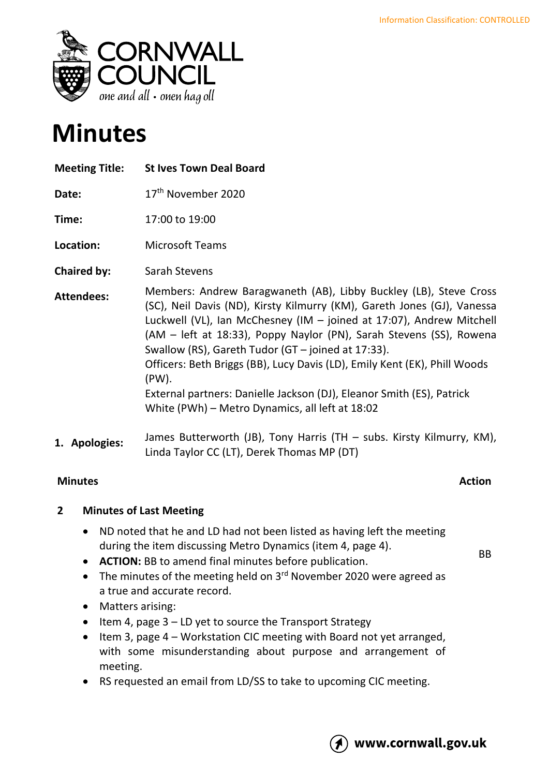

# **Minutes**

| <b>Meeting Title:</b> | <b>St Ives Town Deal Board</b>                                                                                                                                                                                                                                                                                                                                                                                                                                                                                                                                      |
|-----------------------|---------------------------------------------------------------------------------------------------------------------------------------------------------------------------------------------------------------------------------------------------------------------------------------------------------------------------------------------------------------------------------------------------------------------------------------------------------------------------------------------------------------------------------------------------------------------|
| Date:                 | 17 <sup>th</sup> November 2020                                                                                                                                                                                                                                                                                                                                                                                                                                                                                                                                      |
| Time:                 | 17:00 to 19:00                                                                                                                                                                                                                                                                                                                                                                                                                                                                                                                                                      |
| Location:             | <b>Microsoft Teams</b>                                                                                                                                                                                                                                                                                                                                                                                                                                                                                                                                              |
| <b>Chaired by:</b>    | Sarah Stevens                                                                                                                                                                                                                                                                                                                                                                                                                                                                                                                                                       |
| <b>Attendees:</b>     | Members: Andrew Baragwaneth (AB), Libby Buckley (LB), Steve Cross<br>(SC), Neil Davis (ND), Kirsty Kilmurry (KM), Gareth Jones (GJ), Vanessa<br>Luckwell (VL), Ian McChesney (IM - joined at 17:07), Andrew Mitchell<br>(AM – left at 18:33), Poppy Naylor (PN), Sarah Stevens (SS), Rowena<br>Swallow (RS), Gareth Tudor (GT – joined at 17:33).<br>Officers: Beth Briggs (BB), Lucy Davis (LD), Emily Kent (EK), Phill Woods<br>(PW).<br>External partners: Danielle Jackson (DJ), Eleanor Smith (ES), Patrick<br>White (PWh) – Metro Dynamics, all left at 18:02 |
| 1. Apologies:         | James Butterworth (JB), Tony Harris (TH - subs. Kirsty Kilmurry, KM),<br>Linda Taylor CC (LT), Derek Thomas MP (DT)                                                                                                                                                                                                                                                                                                                                                                                                                                                 |

# **Minutes Action**

BB

# **2 Minutes of Last Meeting**

- ND noted that he and LD had not been listed as having left the meeting during the item discussing Metro Dynamics (item 4, page 4).
- **ACTION:** BB to amend final minutes before publication.
- The minutes of the meeting held on  $3<sup>rd</sup>$  November 2020 were agreed as a true and accurate record.
- Matters arising:
- Item 4, page 3 LD yet to source the Transport Strategy
- Item 3, page 4 Workstation CIC meeting with Board not yet arranged, with some misunderstanding about purpose and arrangement of meeting.
- RS requested an email from LD/SS to take to upcoming CIC meeting.

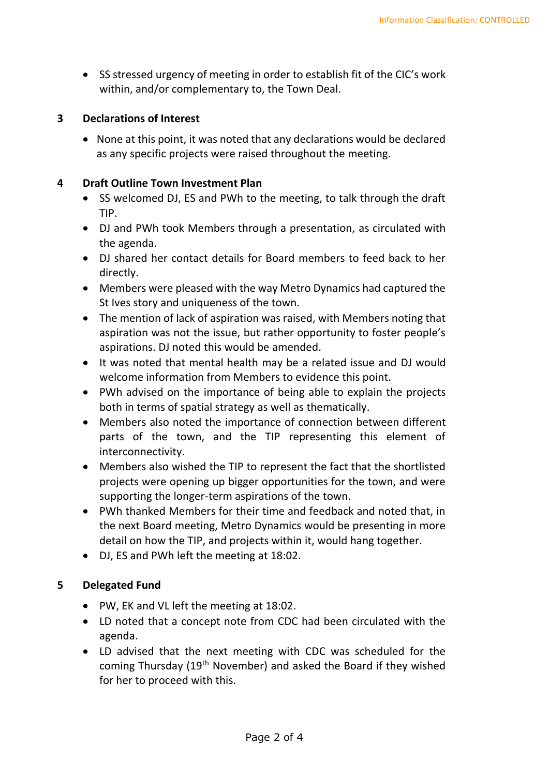• SS stressed urgency of meeting in order to establish fit of the CIC's work within, and/or complementary to, the Town Deal.

#### **3 Declarations of Interest**

• None at this point, it was noted that any declarations would be declared as any specific projects were raised throughout the meeting.

### **4 Draft Outline Town Investment Plan**

- SS welcomed DJ, ES and PWh to the meeting, to talk through the draft TIP.
- DJ and PWh took Members through a presentation, as circulated with the agenda.
- DJ shared her contact details for Board members to feed back to her directly.
- Members were pleased with the way Metro Dynamics had captured the St Ives story and uniqueness of the town.
- The mention of lack of aspiration was raised, with Members noting that aspiration was not the issue, but rather opportunity to foster people's aspirations. DJ noted this would be amended.
- It was noted that mental health may be a related issue and DJ would welcome information from Members to evidence this point.
- PWh advised on the importance of being able to explain the projects both in terms of spatial strategy as well as thematically.
- Members also noted the importance of connection between different parts of the town, and the TIP representing this element of interconnectivity.
- Members also wished the TIP to represent the fact that the shortlisted projects were opening up bigger opportunities for the town, and were supporting the longer-term aspirations of the town.
- PWh thanked Members for their time and feedback and noted that, in the next Board meeting, Metro Dynamics would be presenting in more detail on how the TIP, and projects within it, would hang together.
- DJ, ES and PWh left the meeting at 18:02.

# **5 Delegated Fund**

- PW, EK and VL left the meeting at 18:02.
- LD noted that a concept note from CDC had been circulated with the agenda.
- LD advised that the next meeting with CDC was scheduled for the coming Thursday (19th November) and asked the Board if they wished for her to proceed with this.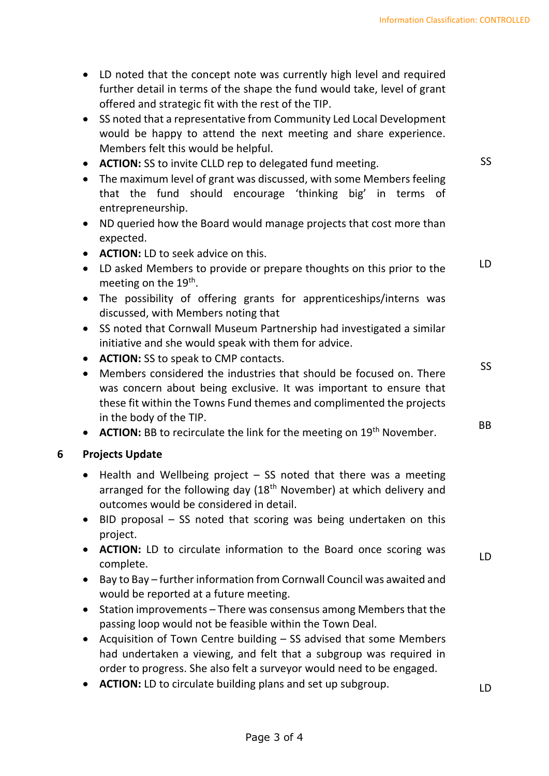- LD noted that the concept note was currently high level and required further detail in terms of the shape the fund would take, level of grant offered and strategic fit with the rest of the TIP.
- SS noted that a representative from Community Led Local Development would be happy to attend the next meeting and share experience. Members felt this would be helpful.
- **ACTION:** SS to invite CLLD rep to delegated fund meeting.
- The maximum level of grant was discussed, with some Members feeling that the fund should encourage 'thinking big' in terms of entrepreneurship.
- ND queried how the Board would manage projects that cost more than expected.
- **ACTION:** LD to seek advice on this.
- LD asked Members to provide or prepare thoughts on this prior to the meeting on the 19<sup>th</sup>. LD
- The possibility of offering grants for apprenticeships/interns was discussed, with Members noting that
- SS noted that Cornwall Museum Partnership had investigated a similar initiative and she would speak with them for advice.
- **ACTION:** SS to speak to CMP contacts.
- Members considered the industries that should be focused on. There was concern about being exclusive. It was important to ensure that these fit within the Towns Fund themes and complimented the projects in the body of the TIP.
- **ACTION:** BB to recirculate the link for the meeting on 19<sup>th</sup> November.

# **6 Projects Update**

- Health and Wellbeing project  $-$  SS noted that there was a meeting arranged for the following day  $(18<sup>th</sup>$  November) at which delivery and outcomes would be considered in detail.
- BID proposal SS noted that scoring was being undertaken on this project.
- **ACTION:** LD to circulate information to the Board once scoring was complete.
- Bay to Bay further information from Cornwall Council was awaited and would be reported at a future meeting.
- Station improvements There was consensus among Members that the passing loop would not be feasible within the Town Deal.
- Acquisition of Town Centre building SS advised that some Members had undertaken a viewing, and felt that a subgroup was required in order to progress. She also felt a surveyor would need to be engaged.
- **ACTION:** LD to circulate building plans and set up subgroup.

LD

SS

SS

BB

LD